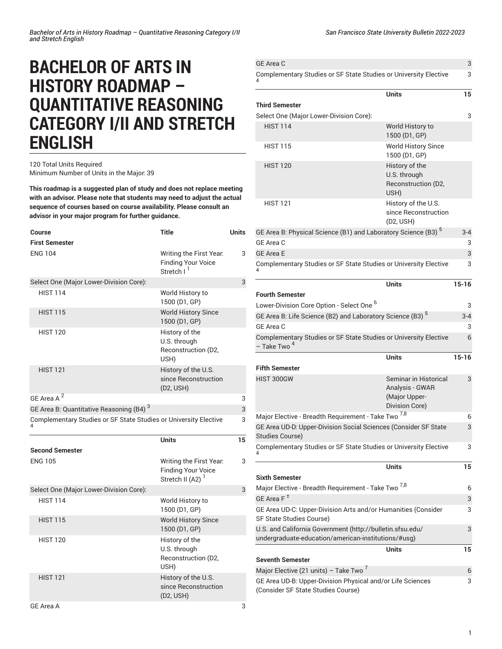# **BACHELOR OF ARTS IN HISTORY ROADMAP – QUANTITATIVE REASONING CATEGORY I/II AND STRETCH ENGLISH**

## 120 Total Units Required Minimum Number of Units in the Major: 39

**This roadmap is a suggested plan of study and does not replace meeting with an advisor. Please note that students may need to adjust the actual sequence of courses based on course availability. Please consult an advisor in your major program for further guidance.**

| <b>Course</b>                                                    | <b>Title</b>                                                                       | <b>Units</b> |
|------------------------------------------------------------------|------------------------------------------------------------------------------------|--------------|
| <b>First Semester</b>                                            |                                                                                    |              |
| <b>ENG 104</b>                                                   | Writing the First Year.<br><b>Finding Your Voice</b><br>Stretch I <sup>1</sup>     | 3            |
| Select One (Major Lower-Division Core):                          |                                                                                    | 3            |
| <b>HIST 114</b>                                                  | World History to<br>1500 (D1, GP)                                                  |              |
| <b>HIST 115</b>                                                  | <b>World History Since</b><br>1500 (D1, GP)                                        |              |
| <b>HIST 120</b>                                                  | History of the<br>U.S. through<br>Reconstruction (D2,<br>USH)                      |              |
| <b>HIST 121</b>                                                  | History of the U.S.<br>since Reconstruction<br>(D <sub>2</sub> , U <sub>SH</sub> ) |              |
| GE Area A <sup>2</sup>                                           |                                                                                    | 3            |
| GE Area B: Quantitative Reasoning (B4) <sup>3</sup>              |                                                                                    | 3            |
| Complementary Studies or SF State Studies or University Elective |                                                                                    | 3            |
|                                                                  | <b>Units</b>                                                                       | 15           |
| <b>Second Semester</b>                                           |                                                                                    |              |
| <b>ENG 105</b>                                                   | Writing the First Year.<br><b>Finding Your Voice</b><br>Stretch II (A2) $1$        | 3            |
| Select One (Major Lower-Division Core):                          |                                                                                    | 3            |
| <b>HIST 114</b>                                                  | World History to<br>1500 (D1, GP)                                                  |              |
| <b>HIST 115</b>                                                  | <b>World History Since</b><br>1500 (D1, GP)                                        |              |
| <b>HIST 120</b>                                                  | History of the<br>U.S. through<br>Reconstruction (D2,<br>USH)                      |              |
| <b>HIST 121</b>                                                  | History of the U.S.<br>since Reconstruction<br>(D <sub>2</sub> , USH)              |              |
| GF Area A                                                        |                                                                                    | 3            |

[Complementary](/undergraduate-education/sf-state-studies/) Studies or SF State Studies or University Elective 4 3

| <b>Third Semester</b>                                                                                            | Units                                                                              | 15        |
|------------------------------------------------------------------------------------------------------------------|------------------------------------------------------------------------------------|-----------|
| Select One (Major Lower-Division Core):                                                                          |                                                                                    | 3         |
| <b>HIST 114</b>                                                                                                  | World History to<br>1500 (D1, GP)                                                  |           |
| <b>HIST 115</b>                                                                                                  | <b>World History Since</b><br>1500 (D1, GP)                                        |           |
| <b>HIST 120</b>                                                                                                  | History of the<br>U.S. through<br>Reconstruction (D2,<br>USH)                      |           |
| <b>HIST 121</b>                                                                                                  | History of the U.S.<br>since Reconstruction<br>(D <sub>2</sub> , U <sub>SH</sub> ) |           |
| GE Area B: Physical Science (B1) and Laboratory Science (B3) <sup>5</sup>                                        |                                                                                    | $3 - 4$   |
| GE Area C                                                                                                        |                                                                                    | 3         |
| <b>GE Area E</b>                                                                                                 |                                                                                    | 3         |
| Complementary Studies or SF State Studies or University Elective                                                 |                                                                                    | 3         |
|                                                                                                                  | <b>Units</b>                                                                       | $15 - 16$ |
| <b>Fourth Semester</b>                                                                                           |                                                                                    |           |
| Lower-Division Core Option - Select One <sup>6</sup>                                                             |                                                                                    | 3         |
| GE Area B: Life Science (B2) and Laboratory Science (B3) <sup>5</sup>                                            |                                                                                    | $3 - 4$   |
| GE Area C                                                                                                        |                                                                                    | 3         |
| Complementary Studies or SF State Studies or University Elective<br>- Take Two <sup>4</sup>                      |                                                                                    | 6         |
|                                                                                                                  | <b>Units</b>                                                                       | $15 - 16$ |
| <b>Fifth Semester</b>                                                                                            |                                                                                    |           |
| HIST 300GW                                                                                                       | Seminar in Historical<br>Analysis - GWAR<br>(Major Upper-<br>Division Core)        | 3         |
| Major Elective - Breadth Requirement - Take Two 7,8                                                              |                                                                                    | 6         |
| GE Area UD-D: Upper-Division Social Sciences (Consider SF State<br>Studies Course)                               |                                                                                    | 3         |
| Complementary Studies or SF State Studies or University Elective<br>4                                            |                                                                                    | 3         |
|                                                                                                                  | <b>Units</b>                                                                       | 15        |
| <b>Sixth Semester</b>                                                                                            |                                                                                    |           |
| Major Elective - Breadth Requirement - Take Two <sup>7,8</sup><br>GE Area F <sup>±</sup>                         |                                                                                    | 6<br>3    |
| GE Area UD-C: Upper-Division Arts and/or Humanities (Consider                                                    |                                                                                    | 3         |
| SF State Studies Course)                                                                                         |                                                                                    |           |
| U.S. and California Government (http://bulletin.sfsu.edu/<br>undergraduate-education/american-institutions/#usg) |                                                                                    | 3         |
|                                                                                                                  | Units                                                                              | 15        |
| <b>Seventh Semester</b>                                                                                          |                                                                                    |           |
| Major Elective (21 units) - Take Two <sup>7</sup>                                                                |                                                                                    | 6         |
| GE Area UD-B: Upper-Division Physical and/or Life Sciences                                                       |                                                                                    | 3         |
| (Consider SF State Studies Course)                                                                               |                                                                                    |           |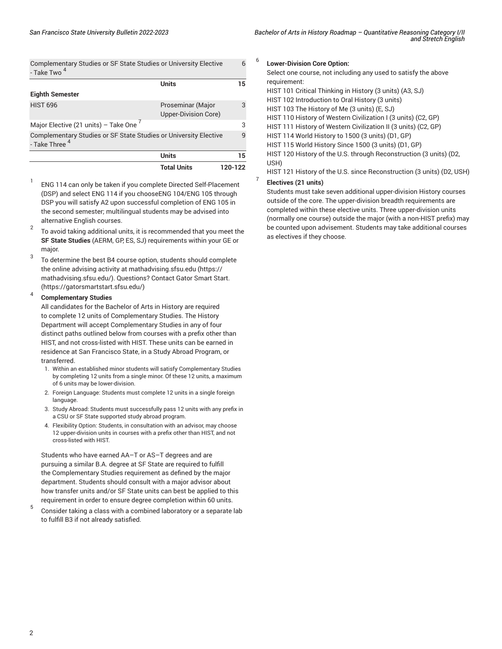| Bachelor of Arts in History Roadmap - Quantitative Reasoning Category I/II<br>and Stretch English |  |
|---------------------------------------------------------------------------------------------------|--|
|                                                                                                   |  |

[Complementary](/undergraduate-education/sf-state-studies/) Studies or SF State Studies or University Elective - [Take](/undergraduate-education/sf-state-studies/) Two <sup>4</sup>

|                                                                                    | <b>Units</b>                                     | 15      |
|------------------------------------------------------------------------------------|--------------------------------------------------|---------|
| <b>Eighth Semester</b>                                                             |                                                  |         |
| <b>HIST 696</b>                                                                    | Proseminar (Major<br><b>Upper-Division Core)</b> | 3       |
| Major Elective (21 units) - Take One $'$                                           |                                                  | 3       |
| Complementary Studies or SF State Studies or University Elective - Take Three $^4$ |                                                  | q       |
|                                                                                    | <b>Units</b>                                     | 15      |
|                                                                                    | <b>Total Units</b>                               | 120-122 |

- 1 ENG 114 can only be taken if you complete Directed Self-Placement (DSP) and select ENG 114 if you chooseENG 104/ENG 105 through DSP you will satisfy A2 upon successful completion of ENG 105 in the second semester; multilingual students may be advised into alternative English courses.
- 2 To avoid taking additional units, it is recommended that you meet the **SF State Studies** (AERM, GP, ES, SJ) requirements within your GE or major.
- 3 To determine the best B4 course option, students should complete the online advising activity at [mathadvising.sfsu.edu](https://mathadvising.sfsu.edu/) ([https://](https://mathadvising.sfsu.edu/) [mathadvising.sfsu.edu/\)](https://mathadvising.sfsu.edu/). Questions? Contact Gator [Smart](https://gatorsmartstart.sfsu.edu/) Start. ([https://gatorsmartstart.sfsu.edu/\)](https://gatorsmartstart.sfsu.edu/)

#### 4 **Complementary Studies**

All candidates for the Bachelor of Arts in History are required to complete 12 units of Complementary Studies. The History Department will accept Complementary Studies in any of four distinct paths outlined below from courses with a prefix other than HIST, and not cross-listed with HIST. These units can be earned in residence at San Francisco State, in a Study Abroad Program, or transferred.

- 1. Within an established minor students will satisfy Complementary Studies by completing 12 units from a single minor. Of these 12 units, a maximum of 6 units may be lower-division.
- 2. Foreign Language: Students must complete 12 units in a single foreign language.
- 3. Study Abroad: Students must successfully pass 12 units with any prefix in a CSU or SF State supported study abroad program.
- 4. Flexibility Option: Students, in consultation with an advisor, may choose 12 upper-division units in courses with a prefix other than HIST, and not cross-listed with HIST.

Students who have earned AA–T or AS–T degrees and are pursuing a similar B.A. degree at SF State are required to fulfill the Complementary Studies requirement as defined by the major department. Students should consult with a major advisor about how transfer units and/or SF State units can best be applied to this requirement in order to ensure degree completion within 60 units.

5 Consider taking a class with a combined laboratory or a separate lab to fulfill B3 if not already satisfied.

#### 6 **Lower-Division Core Option:**

6

Select one course, not including any used to satisfy the above requirement:

HIST 101 Critical Thinking in History (3 units) (A3, SJ)

HIST 102 Introduction to Oral History (3 units)

HIST 103 The History of Me (3 units) (E, SJ)

HIST 110 History of Western Civilization I (3 units) (C2, GP)

HIST 111 History of Western Civilization II (3 units) (C2, GP)

HIST 114 World History to 1500 (3 units) (D1, GP)

HIST 115 World History Since 1500 (3 units) (D1, GP)

HIST 120 History of the U.S. through Reconstruction (3 units) (D2, USH)

HIST 121 History of the U.S. since Reconstruction (3 units) (D2, USH)

## **Electives (21 units)**

7

Students must take seven additional upper-division History courses outside of the core. The upper-division breadth requirements are completed within these elective units. Three upper-division units (normally one course) outside the major (with a non-HIST prefix) may be counted upon advisement. Students may take additional courses as electives if they choose.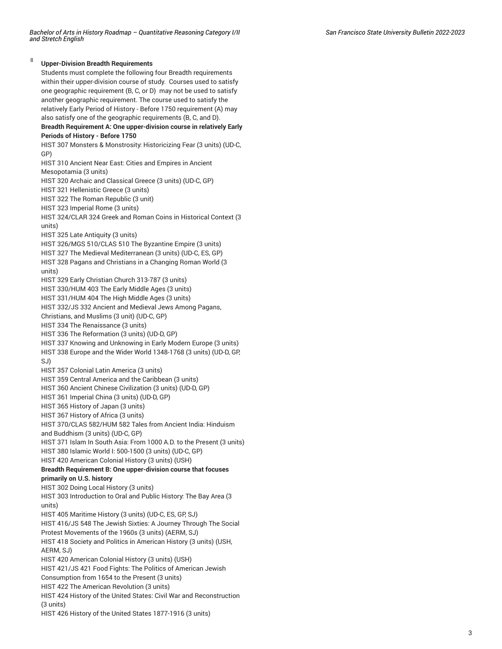8

**Upper-Division Breadth Requirements** Students must complete the following four Breadth requirements within their upper-division course of study. Courses used to satisfy one geographic requirement (B, C, or D) may not be used to satisfy another geographic requirement. The course used to satisfy the relatively Early Period of History - Before 1750 requirement (A) may also satisfy one of the geographic requirements (B, C, and D). **Breadth Requirement A: One upper-division course in relatively Early Periods of History - Before 1750** HIST 307 Monsters & Monstrosity: Historicizing Fear (3 units) (UD-C, GP) HIST 310 Ancient Near East: Cities and Empires in Ancient Mesopotamia (3 units) HIST 320 Archaic and Classical Greece (3 units) (UD-C, GP) HIST 321 Hellenistic Greece (3 units) HIST 322 The Roman Republic (3 unit) HIST 323 Imperial Rome (3 units) HIST 324/CLAR 324 Greek and Roman Coins in Historical Context (3 units) HIST 325 Late Antiquity (3 units) HIST 326/MGS 510/CLAS 510 The Byzantine Empire (3 units) HIST 327 The Medieval Mediterranean (3 units) (UD-C, ES, GP) HIST 328 Pagans and Christians in a Changing Roman World (3 units) HIST 329 Early Christian Church 313-787 (3 units) HIST 330/HUM 403 The Early Middle Ages (3 units) HIST 331/HUM 404 The High Middle Ages (3 units) HIST 332/JS 332 Ancient and Medieval Jews Among Pagans, Christians, and Muslims (3 unit) (UD-C, GP) HIST 334 The Renaissance (3 units) HIST 336 The Reformation (3 units) (UD-D, GP) HIST 337 Knowing and Unknowing in Early Modern Europe (3 units) HIST 338 Europe and the Wider World 1348-1768 (3 units) (UD-D, GP, SJ) HIST 357 Colonial Latin America (3 units) HIST 359 Central America and the Caribbean (3 units) HIST 360 Ancient Chinese Civilization (3 units) (UD-D, GP) HIST 361 Imperial China (3 units) (UD-D, GP) HIST 365 History of Japan (3 units) HIST 367 History of Africa (3 units) HIST 370/CLAS 582/HUM 582 Tales from Ancient India: Hinduism and Buddhism (3 units) (UD-C, GP) HIST 371 Islam In South Asia: From 1000 A.D. to the Present (3 units) HIST 380 Islamic World I: 500-1500 (3 units) (UD-C, GP) HIST 420 American Colonial History (3 units) (USH) **Breadth Requirement B: One upper-division course that focuses primarily on U.S. history** HIST 302 Doing Local History (3 units) HIST 303 Introduction to Oral and Public History: The Bay Area (3 units) HIST 405 Maritime History (3 units) (UD-C, ES, GP, SJ) HIST 416/JS 548 The Jewish Sixties: A Journey Through The Social Protest Movements of the 1960s (3 units) (AERM, SJ) HIST 418 Society and Politics in American History (3 units) (USH, AERM, SJ) HIST 420 American Colonial History (3 units) (USH) HIST 421/JS 421 Food Fights: The Politics of American Jewish Consumption from 1654 to the Present (3 units) HIST 422 The American Revolution (3 units) HIST 424 History of the United States: Civil War and Reconstruction (3 units)

HIST 426 History of the United States 1877-1916 (3 units)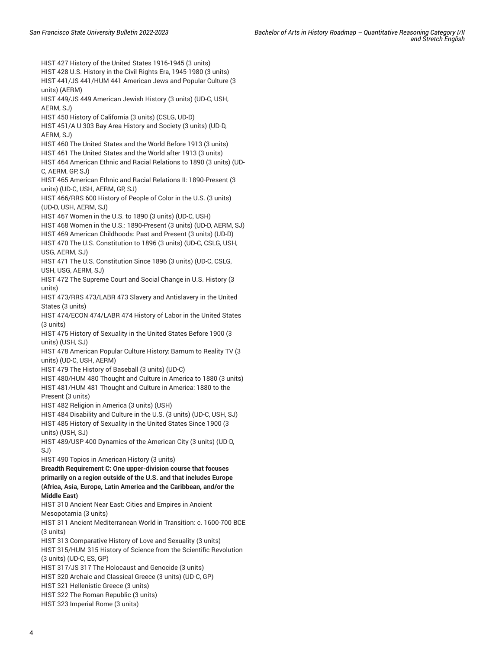HIST 427 History of the United States 1916-1945 (3 units) HIST 428 U.S. History in the Civil Rights Era, 1945-1980 (3 units) HIST 441/JS 441/HUM 441 American Jews and Popular Culture (3 units) (AERM) HIST 449/JS 449 American Jewish History (3 units) (UD-C, USH, AERM, SJ) HIST 450 History of California (3 units) (CSLG, UD-D) HIST 451/A U 303 Bay Area History and Society (3 units) (UD-D, AERM, SJ) HIST 460 The United States and the World Before 1913 (3 units) HIST 461 The United States and the World after 1913 (3 units) HIST 464 American Ethnic and Racial Relations to 1890 (3 units) (UD-C, AERM, GP, SJ) HIST 465 American Ethnic and Racial Relations II: 1890-Present (3 units) (UD-C, USH, AERM, GP, SJ) HIST 466/RRS 600 History of People of Color in the U.S. (3 units) (UD-D, USH, AERM, SJ) HIST 467 Women in the U.S. to 1890 (3 units) (UD-C, USH) HIST 468 Women in the U.S.: 1890-Present (3 units) (UD-D, AERM, SJ) HIST 469 American Childhoods: Past and Present (3 units) (UD-D) HIST 470 The U.S. Constitution to 1896 (3 units) (UD-C, CSLG, USH, USG, AERM, SJ) HIST 471 The U.S. Constitution Since 1896 (3 units) (UD-C, CSLG, USH, USG, AERM, SJ) HIST 472 The Supreme Court and Social Change in U.S. History (3 units) HIST 473/RRS 473/LABR 473 Slavery and Antislavery in the United States (3 units) HIST 474/ECON 474/LABR 474 History of Labor in the United States (3 units) HIST 475 History of Sexuality in the United States Before 1900 (3 units) (USH, SJ) HIST 478 American Popular Culture History: Barnum to Reality TV (3 units) (UD-C, USH, AERM) HIST 479 The History of Baseball (3 units) (UD-C) HIST 480/HUM 480 Thought and Culture in America to 1880 (3 units) HIST 481/HUM 481 Thought and Culture in America: 1880 to the Present (3 units) HIST 482 Religion in America (3 units) (USH) HIST 484 Disability and Culture in the U.S. (3 units) (UD-C, USH, SJ) HIST 485 History of Sexuality in the United States Since 1900 (3 units) (USH, SJ) HIST 489/USP 400 Dynamics of the American City (3 units) (UD-D, SJ) HIST 490 Topics in American History (3 units) **Breadth Requirement C: One upper-division course that focuses primarily on a region outside of the U.S. and that includes Europe (Africa, Asia, Europe, Latin America and the Caribbean, and/or the Middle East)** HIST 310 Ancient Near East: Cities and Empires in Ancient Mesopotamia (3 units) HIST 311 Ancient Mediterranean World in Transition: c. 1600-700 BCE (3 units) HIST 313 Comparative History of Love and Sexuality (3 units) HIST 315/HUM 315 History of Science from the Scientific Revolution (3 units) (UD-C, ES, GP) HIST 317/JS 317 The Holocaust and Genocide (3 units) HIST 320 Archaic and Classical Greece (3 units) (UD-C, GP) HIST 321 Hellenistic Greece (3 units) HIST 322 The Roman Republic (3 units) HIST 323 Imperial Rome (3 units)